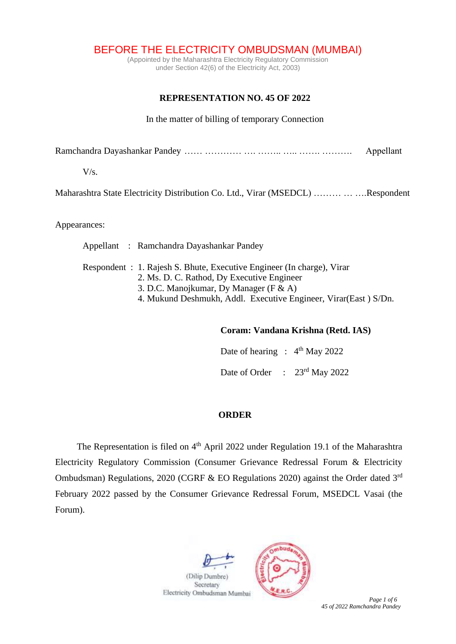BEFORE THE ELECTRICITY OMBUDSMAN (MUMBAI)

(Appointed by the Maharashtra Electricity Regulatory Commission under Section 42(6) of the Electricity Act, 2003)

## **REPRESENTATION NO. 45 OF 2022**

In the matter of billing of temporary Connection

Ramchandra Dayashankar Pandey …… ………… …… …… …… …………… Appellant

 $V/s$ .

Maharashtra State Electricity Distribution Co. Ltd., Virar (MSEDCL) ……… … ….Respondent

Appearances:

Appellant : Ramchandra Dayashankar Pandey Respondent : 1. Rajesh S. Bhute, Executive Engineer (In charge), Virar 2. Ms. D. C. Rathod, Dy Executive Engineer 3. D.C. Manojkumar, Dy Manager (F & A) 4. Mukund Deshmukh, Addl. Executive Engineer, Virar(East ) S/Dn.

### **Coram: Vandana Krishna (Retd. IAS)**

Date of hearing :  $4<sup>th</sup>$  May 2022 Date of Order : 23<sup>rd</sup> May 2022

## **ORDER**

The Representation is filed on 4<sup>th</sup> April 2022 under Regulation 19.1 of the Maharashtra Electricity Regulatory Commission (Consumer Grievance Redressal Forum & Electricity Ombudsman) Regulations, 2020 (CGRF & EO Regulations 2020) against the Order dated 3rd February 2022 passed by the Consumer Grievance Redressal Forum, MSEDCL Vasai (the Forum).



**Page 1** of 6

*45 of 2022 Ramchandra Pandey*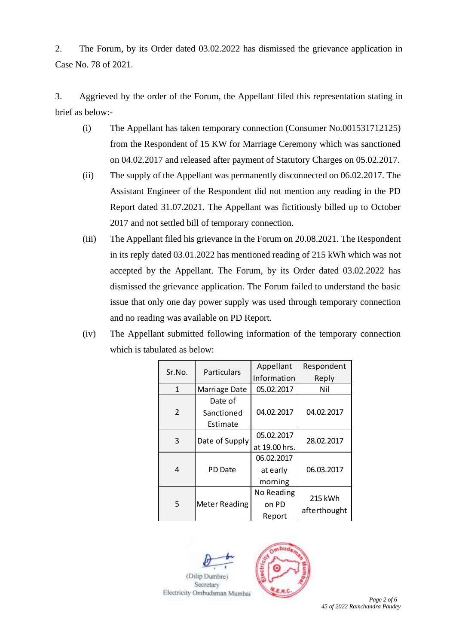2. The Forum, by its Order dated 03.02.2022 has dismissed the grievance application in Case No. 78 of 2021.

3. Aggrieved by the order of the Forum, the Appellant filed this representation stating in brief as below:-

- (i) The Appellant has taken temporary connection (Consumer No.001531712125) from the Respondent of 15 KW for Marriage Ceremony which was sanctioned on 04.02.2017 and released after payment of Statutory Charges on 05.02.2017.
- (ii) The supply of the Appellant was permanently disconnected on 06.02.2017. The Assistant Engineer of the Respondent did not mention any reading in the PD Report dated 31.07.2021. The Appellant was fictitiously billed up to October 2017 and not settled bill of temporary connection.
- (iii) The Appellant filed his grievance in the Forum on 20.08.2021. The Respondent in its reply dated 03.01.2022 has mentioned reading of 215 kWh which was not accepted by the Appellant. The Forum, by its Order dated 03.02.2022 has dismissed the grievance application. The Forum failed to understand the basic issue that only one day power supply was used through temporary connection and no reading was available on PD Report.
- (iv) The Appellant submitted following information of the temporary connection which is tabulated as below:

| Sr.No.         | Particulars          | Appellant     | Respondent              |  |
|----------------|----------------------|---------------|-------------------------|--|
|                |                      | Information   | Reply                   |  |
| $\mathbf{1}$   | Marriage Date        | 05.02.2017    | Nil                     |  |
| $\overline{2}$ | Date of              |               |                         |  |
|                | Sanctioned           | 04.02.2017    | 04.02.2017              |  |
|                | Estimate             |               |                         |  |
| 3              | Date of Supply       | 05.02.2017    | 28.02.2017              |  |
|                |                      | at 19.00 hrs. |                         |  |
| 4              | PD Date              | 06.02.2017    |                         |  |
|                |                      | at early      | 06.03.2017              |  |
|                |                      | morning       |                         |  |
| 5              | <b>Meter Reading</b> | No Reading    | 215 kWh<br>afterthought |  |
|                |                      | on PD         |                         |  |
|                |                      | Report        |                         |  |

(Dilin Dumber) Secretary



Page 2 of 6 *45 of 2022 Ramchandra Pandey*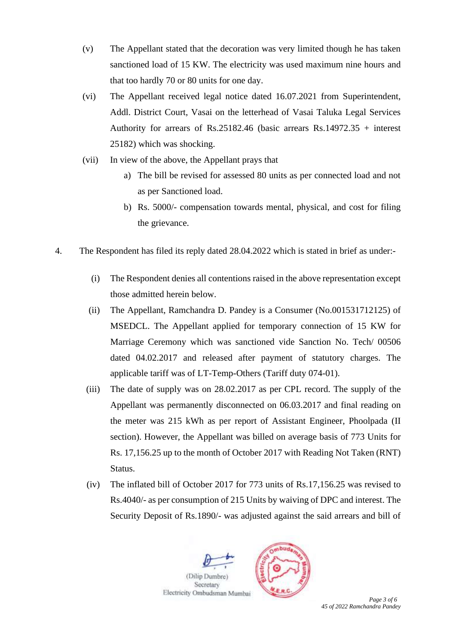- (v) The Appellant stated that the decoration was very limited though he has taken sanctioned load of 15 KW. The electricity was used maximum nine hours and that too hardly 70 or 80 units for one day.
- (vi) The Appellant received legal notice dated 16.07.2021 from Superintendent, Addl. District Court, Vasai on the letterhead of Vasai Taluka Legal Services Authority for arrears of Rs.25182.46 (basic arrears Rs.14972.35 + interest 25182) which was shocking.
- (vii) In view of the above, the Appellant prays that
	- a) The bill be revised for assessed 80 units as per connected load and not as per Sanctioned load.
	- b) Rs. 5000/- compensation towards mental, physical, and cost for filing the grievance.
- 4. The Respondent has filed its reply dated 28.04.2022 which is stated in brief as under:-
	- (i) The Respondent denies all contentions raised in the above representation except those admitted herein below.
	- (ii) The Appellant, Ramchandra D. Pandey is a Consumer (No.001531712125) of MSEDCL. The Appellant applied for temporary connection of 15 KW for Marriage Ceremony which was sanctioned vide Sanction No. Tech/ 00506 dated 04.02.2017 and released after payment of statutory charges. The applicable tariff was of LT-Temp-Others (Tariff duty 074-01).
	- (iii) The date of supply was on 28.02.2017 as per CPL record. The supply of the Appellant was permanently disconnected on 06.03.2017 and final reading on the meter was 215 kWh as per report of Assistant Engineer, Phoolpada (II section). However, the Appellant was billed on average basis of 773 Units for Rs. 17,156.25 up to the month of October 2017 with Reading Not Taken (RNT) Status.
	- (iv) The inflated bill of October 2017 for 773 units of Rs.17,156.25 was revised to Rs.4040/- as per consumption of 215 Units by waiving of DPC and interest. The Security Deposit of Rs.1890/- was adjusted against the said arrears and bill of





**Page 3** of 6 *45 of 2022 Ramchandra Pandey*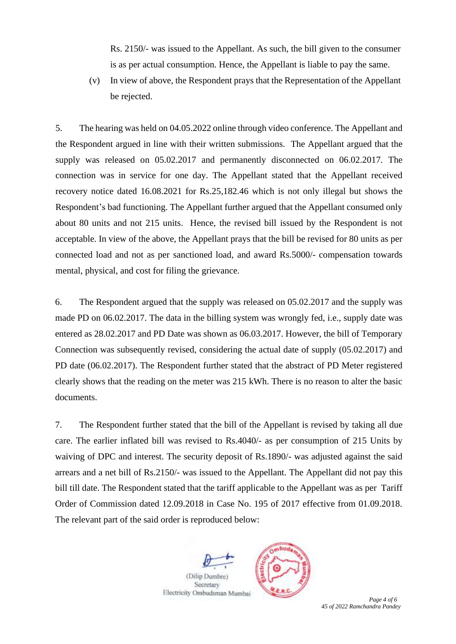Rs. 2150/- was issued to the Appellant. As such, the bill given to the consumer is as per actual consumption. Hence, the Appellant is liable to pay the same.

(v) In view of above, the Respondent prays that the Representation of the Appellant be rejected.

5. The hearing was held on 04.05.2022 online through video conference. The Appellant and the Respondent argued in line with their written submissions. The Appellant argued that the supply was released on 05.02.2017 and permanently disconnected on 06.02.2017. The connection was in service for one day. The Appellant stated that the Appellant received recovery notice dated 16.08.2021 for Rs.25,182.46 which is not only illegal but shows the Respondent's bad functioning. The Appellant further argued that the Appellant consumed only about 80 units and not 215 units. Hence, the revised bill issued by the Respondent is not acceptable. In view of the above, the Appellant prays that the bill be revised for 80 units as per connected load and not as per sanctioned load, and award Rs.5000/- compensation towards mental, physical, and cost for filing the grievance.

6. The Respondent argued that the supply was released on 05.02.2017 and the supply was made PD on 06.02.2017. The data in the billing system was wrongly fed, i.e., supply date was entered as 28.02.2017 and PD Date was shown as 06.03.2017. However, the bill of Temporary Connection was subsequently revised, considering the actual date of supply (05.02.2017) and PD date (06.02.2017). The Respondent further stated that the abstract of PD Meter registered clearly shows that the reading on the meter was 215 kWh. There is no reason to alter the basic documents.

7. The Respondent further stated that the bill of the Appellant is revised by taking all due care. The earlier inflated bill was revised to Rs.4040/- as per consumption of 215 Units by waiving of DPC and interest. The security deposit of Rs.1890/- was adjusted against the said arrears and a net bill of Rs.2150/- was issued to the Appellant. The Appellant did not pay this bill till date. The Respondent stated that the tariff applicable to the Appellant was as per Tariff Order of Commission dated 12.09.2018 in Case No. 195 of 2017 effective from 01.09.2018. The relevant part of the said order is reproduced below:



(Dilip Dumbre) Secretary



 *Page 4 of 6 45 of 2022 Ramchandra Pandey*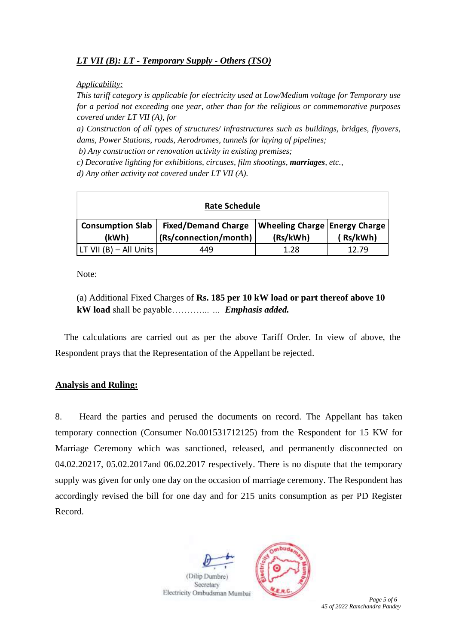# *LT VII (B): LT - Temporary Supply - Others (TSO)*

*Applicability:* 

*This tariff category is applicable for electricity used at Low/Medium voltage for Temporary use for a period not exceeding one year, other than for the religious or commemorative purposes covered under LT VII (A), for* 

*a) Construction of all types of structures/ infrastructures such as buildings, bridges, flyovers, dams, Power Stations, roads, Aerodromes, tunnels for laying of pipelines;*

*b) Any construction or renovation activity in existing premises;* 

*c) Decorative lighting for exhibitions, circuses, film shootings, marriages, etc.,* 

*d) Any other activity not covered under LT VII (A).*

| <b>Rate Schedule</b>    |                            |                               |         |  |  |  |
|-------------------------|----------------------------|-------------------------------|---------|--|--|--|
| <b>Consumption Slab</b> | <b>Fixed/Demand Charge</b> | Wheeling Charge Energy Charge |         |  |  |  |
| (kWh)                   | (Rs/connection/month)      | (Rs/kWh)                      | Rs/kWh) |  |  |  |
| LT VII (B) – All Units  | 449                        | 1.28                          | 12.79   |  |  |  |

Note:

(a) Additional Fixed Charges of **Rs. 185 per 10 kW load or part thereof above 10 kW load** shall be payable……….*… … Emphasis added.*

The calculations are carried out as per the above Tariff Order. In view of above, the Respondent prays that the Representation of the Appellant be rejected.

## **Analysis and Ruling:**

8. Heard the parties and perused the documents on record. The Appellant has taken temporary connection (Consumer No.001531712125) from the Respondent for 15 KW for Marriage Ceremony which was sanctioned, released, and permanently disconnected on 04.02.20217, 05.02.2017and 06.02.2017 respectively. There is no dispute that the temporary supply was given for only one day on the occasion of marriage ceremony. The Respondent has accordingly revised the bill for one day and for 215 units consumption as per PD Register Record.





**Page 5** of 6 *45 of 2022 Ramchandra Pandey*